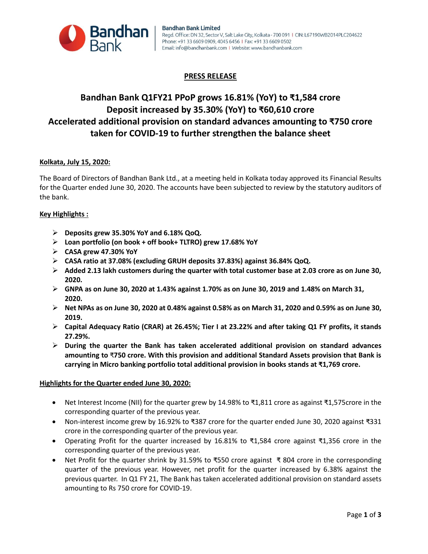

## **PRESS RELEASE**

# **Bandhan Bank Q1FY21 PPoP grows 16.81% (YoY) to ₹1,584 crore Deposit increased by 35.30% (YoY) to ₹60,610 crore Accelerated additional provision on standard advances amounting to ₹750 crore taken for COVID-19 to further strengthen the balance sheet**

## **Kolkata, July 15, 2020:**

The Board of Directors of Bandhan Bank Ltd., at a meeting held in Kolkata today approved its Financial Results for the Quarter ended June 30, 2020. The accounts have been subjected to review by the statutory auditors of the bank.

## **Key Highlights :**

- **Deposits grew 35.30% YoY and 6.18% QoQ.**
- **Loan portfolio (on book + off book+ TLTRO) grew 17.68% YoY**
- **CASA grew 47.30% YoY**
- **CASA ratio at 37.08% (excluding GRUH deposits 37.83%) against 36.84% QoQ.**
- **Added 2.13 lakh customers during the quarter with total customer base at 2.03 crore as on June 30, 2020.**
- **GNPA as on June 30, 2020 at 1.43% against 1.70% as on June 30, 2019 and 1.48% on March 31, 2020.**
- **Net NPAs as on June 30, 2020 at 0.48% against 0.58% as on March 31, 2020 and 0.59% as on June 30, 2019.**
- **Capital Adequacy Ratio (CRAR) at 26.45%; Tier I at 23.22% and after taking Q1 FY profits, it stands 27.29%.**
- **During the quarter the Bank has taken accelerated additional provision on standard advances amounting to** ₹**750 crore. With this provision and additional Standard Assets provision that Bank is carrying in Micro banking portfolio total additional provision in books stands at ₹1,769 crore.**

## **Highlights for the Quarter ended June 30, 2020:**

- Net Interest Income (NII) for the quarter grew by 14.98% to ₹1,811 crore as against ₹1,575crore in the corresponding quarter of the previous year.
- Non-interest income grew by 16.92% to ₹387 crore for the quarter ended June 30, 2020 against ₹331 crore in the corresponding quarter of the previous year.
- Operating Profit for the quarter increased by 16.81% to ₹1,584 crore against ₹1,356 crore in the corresponding quarter of the previous year.
- Net Profit for the quarter shrink by 31.59% to ₹550 crore against ₹ 804 crore in the corresponding quarter of the previous year. However, net profit for the quarter increased by 6.38% against the previous quarter. In Q1 FY 21, The Bank has taken accelerated additional provision on standard assets amounting to Rs 750 crore for COVID-19.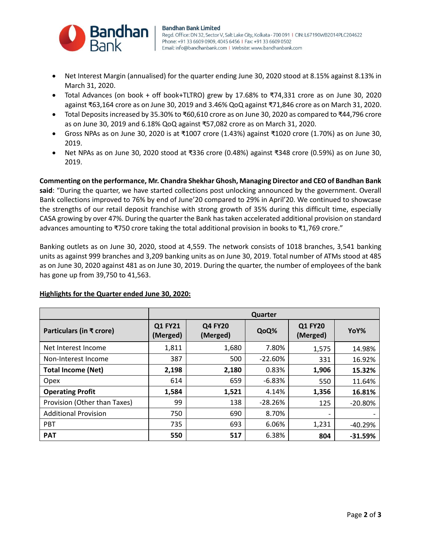

- Net Interest Margin (annualised) for the quarter ending June 30, 2020 stood at 8.15% against 8.13% in March 31, 2020.
- Total Advances (on book + off book+TLTRO) grew by 17.68% to ₹74,331 crore as on June 30, 2020 against ₹63,164 crore as on June 30, 2019 and 3.46% QoQ against ₹71,846 crore as on March 31, 2020.
- Total Deposits increased by 35.30% to ₹60,610 crore as on June 30, 2020 as compared to ₹44,796 crore as on June 30, 2019 and 6.18% QoQ against ₹57,082 crore as on March 31, 2020.
- Gross NPAs as on June 30, 2020 is at ₹1007 crore (1.43%) against ₹1020 crore (1.70%) as on June 30, 2019.
- Net NPAs as on June 30, 2020 stood at ₹336 crore (0.48%) against ₹348 crore (0.59%) as on June 30, 2019.

**Commenting on the performance, Mr. Chandra Shekhar Ghosh, Managing Director and CEO of Bandhan Bank said**: "During the quarter, we have started collections post unlocking announced by the government. Overall Bank collections improved to 76% by end of June'20 compared to 29% in April'20. We continued to showcase the strengths of our retail deposit franchise with strong growth of 35% during this difficult time, especially CASA growing by over 47%. During the quarter the Bank has taken accelerated additional provision on standard advances amounting to ₹750 crore taking the total additional provision in books to ₹1,769 crore."

Banking outlets as on June 30, 2020, stood at 4,559. The network consists of 1018 branches, 3,541 banking units as against 999 branches and 3,209 banking units as on June 30, 2019. Total number of ATMs stood at 485 as on June 30, 2020 against 481 as on June 30, 2019. During the quarter, the number of employees of the bank has gone up from 39,750 to 41,563.

|                              | <b>Quarter</b>             |                            |            |                            |           |
|------------------------------|----------------------------|----------------------------|------------|----------------------------|-----------|
| Particulars (in ₹ crore)     | <b>Q1 FY21</b><br>(Merged) | <b>Q4 FY20</b><br>(Merged) | QoQ%       | <b>Q1 FY20</b><br>(Merged) | YoY%      |
| Net Interest Income          | 1,811                      | 1,680                      | 7.80%      | 1,575                      | 14.98%    |
| Non-Interest Income          | 387                        | 500                        | $-22.60\%$ | 331                        | 16.92%    |
| <b>Total Income (Net)</b>    | 2,198                      | 2,180                      | 0.83%      | 1,906                      | 15.32%    |
| <b>Opex</b>                  | 614                        | 659                        | $-6.83%$   | 550                        | 11.64%    |
| <b>Operating Profit</b>      | 1,584                      | 1,521                      | 4.14%      | 1,356                      | 16.81%    |
| Provision (Other than Taxes) | 99                         | 138                        | $-28.26%$  | 125                        | $-20.80%$ |
| <b>Additional Provision</b>  | 750                        | 690                        | 8.70%      | $\overline{\phantom{a}}$   |           |
| <b>PBT</b>                   | 735                        | 693                        | 6.06%      | 1,231                      | $-40.29%$ |
| <b>PAT</b>                   | 550                        | 517                        | 6.38%      | 804                        | $-31.59%$ |

## **Highlights for the Quarter ended June 30, 2020:**